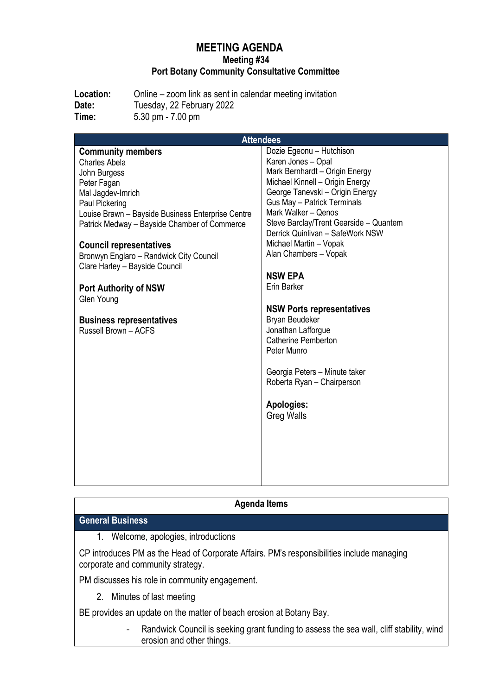### **MEETING AGENDA Meeting #34 Port Botany Community Consultative Committee**

**Location:** Online – zoom link as sent in calendar meeting invitation Date: Tuesday, 22 February 2022 **Time:** 5.30 pm - 7.00 pm

| <b>Attendees</b>                                  |                                        |
|---------------------------------------------------|----------------------------------------|
| <b>Community members</b>                          | Dozie Egeonu - Hutchison               |
| Charles Abela                                     | Karen Jones - Opal                     |
| John Burgess                                      | Mark Bernhardt - Origin Energy         |
| Peter Fagan                                       | Michael Kinnell - Origin Energy        |
| Mal Jagdev-Imrich                                 | George Tanevski - Origin Energy        |
| Paul Pickering                                    | <b>Gus May - Patrick Terminals</b>     |
| Louise Brawn - Bayside Business Enterprise Centre | Mark Walker - Qenos                    |
| Patrick Medway - Bayside Chamber of Commerce      | Steve Barclay/Trent Gearside - Quantem |
|                                                   | Derrick Quinlivan - SafeWork NSW       |
| <b>Council representatives</b>                    | Michael Martin - Vopak                 |
| Bronwyn Englaro - Randwick City Council           | Alan Chambers - Vopak                  |
| Clare Harley - Bayside Council                    |                                        |
|                                                   | <b>NSW EPA</b>                         |
| <b>Port Authority of NSW</b>                      | Erin Barker                            |
| Glen Young                                        |                                        |
|                                                   | <b>NSW Ports representatives</b>       |
| <b>Business representatives</b>                   | Bryan Beudeker                         |
| Russell Brown - ACFS                              | Jonathan Lafforgue                     |
|                                                   | <b>Catherine Pemberton</b>             |
|                                                   | Peter Munro                            |
|                                                   |                                        |
|                                                   | Georgia Peters - Minute taker          |
|                                                   | Roberta Ryan - Chairperson             |
|                                                   |                                        |
|                                                   | Apologies:                             |
|                                                   | <b>Greg Walls</b>                      |
|                                                   |                                        |
|                                                   |                                        |
|                                                   |                                        |
|                                                   |                                        |
|                                                   |                                        |
|                                                   |                                        |

## **Agenda Items**

#### **General Business**

1. Welcome, apologies, introductions

CP introduces PM as the Head of Corporate Affairs. PM's responsibilities include managing corporate and community strategy.

PM discusses his role in community engagement.

2. Minutes of last meeting

BE provides an update on the matter of beach erosion at Botany Bay.

- Randwick Council is seeking grant funding to assess the sea wall, cliff stability, wind erosion and other things.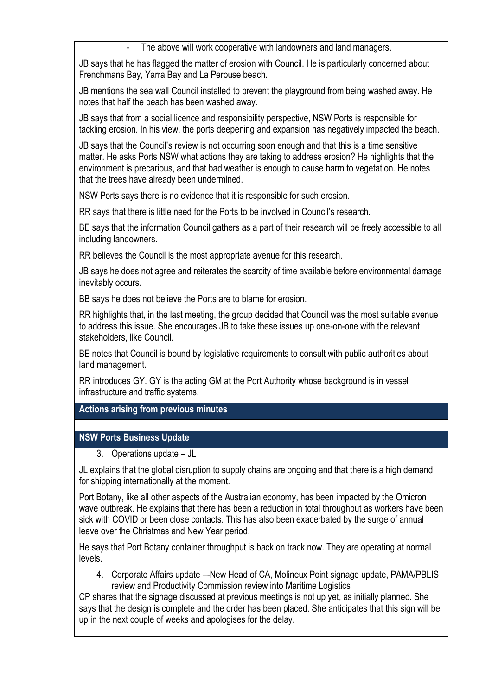The above will work cooperative with landowners and land managers.

JB says that he has flagged the matter of erosion with Council. He is particularly concerned about Frenchmans Bay, Yarra Bay and La Perouse beach.

JB mentions the sea wall Council installed to prevent the playground from being washed away. He notes that half the beach has been washed away.

JB says that from a social licence and responsibility perspective, NSW Ports is responsible for tackling erosion. In his view, the ports deepening and expansion has negatively impacted the beach.

JB says that the Council's review is not occurring soon enough and that this is a time sensitive matter. He asks Ports NSW what actions they are taking to address erosion? He highlights that the environment is precarious, and that bad weather is enough to cause harm to vegetation. He notes that the trees have already been undermined.

NSW Ports says there is no evidence that it is responsible for such erosion.

RR says that there is little need for the Ports to be involved in Council's research.

BE says that the information Council gathers as a part of their research will be freely accessible to all including landowners.

RR believes the Council is the most appropriate avenue for this research.

JB says he does not agree and reiterates the scarcity of time available before environmental damage inevitably occurs.

BB says he does not believe the Ports are to blame for erosion.

RR highlights that, in the last meeting, the group decided that Council was the most suitable avenue to address this issue. She encourages JB to take these issues up one-on-one with the relevant stakeholders, like Council.

BE notes that Council is bound by legislative requirements to consult with public authorities about land management.

RR introduces GY. GY is the acting GM at the Port Authority whose background is in vessel infrastructure and traffic systems.

**Actions arising from previous minutes**

#### **NSW Ports Business Update**

3. Operations update – JL

JL explains that the global disruption to supply chains are ongoing and that there is a high demand for shipping internationally at the moment.

Port Botany, like all other aspects of the Australian economy, has been impacted by the Omicron wave outbreak. He explains that there has been a reduction in total throughput as workers have been sick with COVID or been close contacts. This has also been exacerbated by the surge of annual leave over the Christmas and New Year period.

He says that Port Botany container throughput is back on track now. They are operating at normal levels.

4. Corporate Affairs update –-New Head of CA, Molineux Point signage update, PAMA/PBLIS review and Productivity Commission review into Maritime Logistics

CP shares that the signage discussed at previous meetings is not up yet, as initially planned. She says that the design is complete and the order has been placed. She anticipates that this sign will be up in the next couple of weeks and apologises for the delay.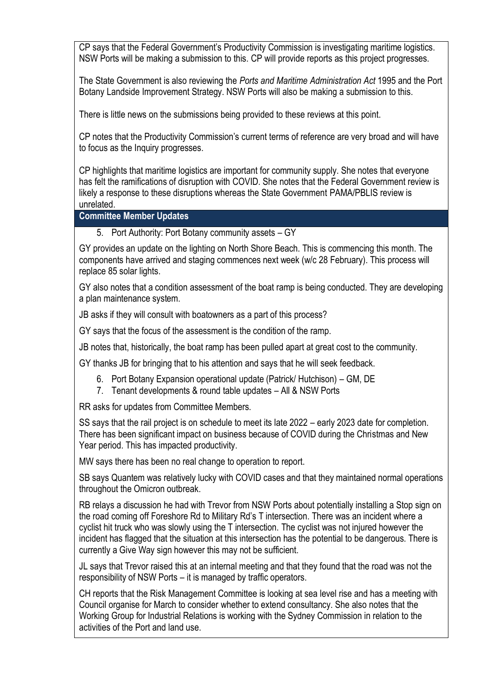CP says that the Federal Government's Productivity Commission is investigating maritime logistics. NSW Ports will be making a submission to this. CP will provide reports as this project progresses.

The State Government is also reviewing the *Ports and Maritime Administration Act* 1995 and the Port Botany Landside Improvement Strategy. NSW Ports will also be making a submission to this.

There is little news on the submissions being provided to these reviews at this point.

CP notes that the Productivity Commission's current terms of reference are very broad and will have to focus as the Inquiry progresses.

CP highlights that maritime logistics are important for community supply. She notes that everyone has felt the ramifications of disruption with COVID. She notes that the Federal Government review is likely a response to these disruptions whereas the State Government PAMA/PBLIS review is unrelated.

**Committee Member Updates**

5. Port Authority: Port Botany community assets – GY

GY provides an update on the lighting on North Shore Beach. This is commencing this month. The components have arrived and staging commences next week (w/c 28 February). This process will replace 85 solar lights.

GY also notes that a condition assessment of the boat ramp is being conducted. They are developing a plan maintenance system.

JB asks if they will consult with boatowners as a part of this process?

GY says that the focus of the assessment is the condition of the ramp.

JB notes that, historically, the boat ramp has been pulled apart at great cost to the community.

GY thanks JB for bringing that to his attention and says that he will seek feedback.

- 6. Port Botany Expansion operational update (Patrick/ Hutchison) GM, DE
- 7. Tenant developments & round table updates All & NSW Ports

RR asks for updates from Committee Members.

SS says that the rail project is on schedule to meet its late 2022 – early 2023 date for completion. There has been significant impact on business because of COVID during the Christmas and New Year period. This has impacted productivity.

MW says there has been no real change to operation to report.

SB says Quantem was relatively lucky with COVID cases and that they maintained normal operations throughout the Omicron outbreak.

RB relays a discussion he had with Trevor from NSW Ports about potentially installing a Stop sign on the road coming off Foreshore Rd to Military Rd's T intersection. There was an incident where a cyclist hit truck who was slowly using the T intersection. The cyclist was not injured however the incident has flagged that the situation at this intersection has the potential to be dangerous. There is currently a Give Way sign however this may not be sufficient.

JL says that Trevor raised this at an internal meeting and that they found that the road was not the responsibility of NSW Ports – it is managed by traffic operators.

CH reports that the Risk Management Committee is looking at sea level rise and has a meeting with Council organise for March to consider whether to extend consultancy. She also notes that the Working Group for Industrial Relations is working with the Sydney Commission in relation to the activities of the Port and land use.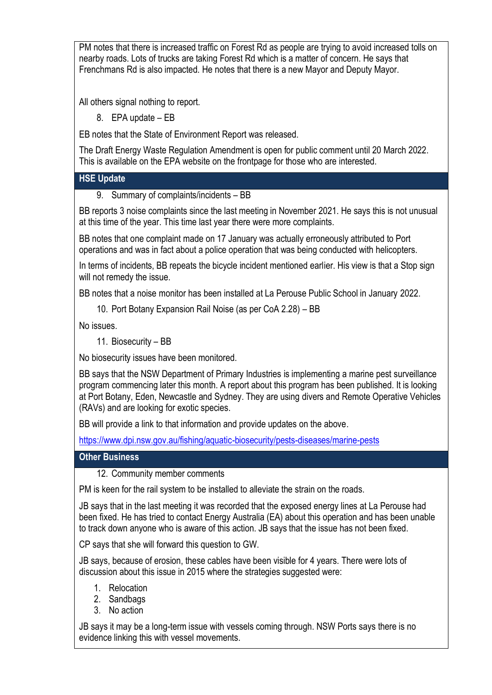PM notes that there is increased traffic on Forest Rd as people are trying to avoid increased tolls on nearby roads. Lots of trucks are taking Forest Rd which is a matter of concern. He says that Frenchmans Rd is also impacted. He notes that there is a new Mayor and Deputy Mayor.

All others signal nothing to report.

8. EPA update – EB

EB notes that the State of Environment Report was released.

The Draft Energy Waste Regulation Amendment is open for public comment until 20 March 2022. This is available on the EPA website on the frontpage for those who are interested.

## **HSE Update**

9. Summary of complaints/incidents – BB

BB reports 3 noise complaints since the last meeting in November 2021. He says this is not unusual at this time of the year. This time last year there were more complaints.

BB notes that one complaint made on 17 January was actually erroneously attributed to Port operations and was in fact about a police operation that was being conducted with helicopters.

In terms of incidents, BB repeats the bicycle incident mentioned earlier. His view is that a Stop sign will not remedy the issue.

BB notes that a noise monitor has been installed at La Perouse Public School in January 2022.

10. Port Botany Expansion Rail Noise (as per CoA 2.28) – BB

No issues.

11. Biosecurity – BB

No biosecurity issues have been monitored.

BB says that the NSW Department of Primary Industries is implementing a marine pest surveillance program commencing later this month. A report about this program has been published. It is looking at Port Botany, Eden, Newcastle and Sydney. They are using divers and Remote Operative Vehicles (RAVs) and are looking for exotic species.

BB will provide a link to that information and provide updates on the above.

<https://www.dpi.nsw.gov.au/fishing/aquatic-biosecurity/pests-diseases/marine-pests>

# **Other Business**

12. Community member comments

PM is keen for the rail system to be installed to alleviate the strain on the roads.

JB says that in the last meeting it was recorded that the exposed energy lines at La Perouse had been fixed. He has tried to contact Energy Australia (EA) about this operation and has been unable to track down anyone who is aware of this action. JB says that the issue has not been fixed.

CP says that she will forward this question to GW.

JB says, because of erosion, these cables have been visible for 4 years. There were lots of discussion about this issue in 2015 where the strategies suggested were:

- 1. Relocation
- 2. Sandbags
- 3. No action

JB says it may be a long-term issue with vessels coming through. NSW Ports says there is no evidence linking this with vessel movements.